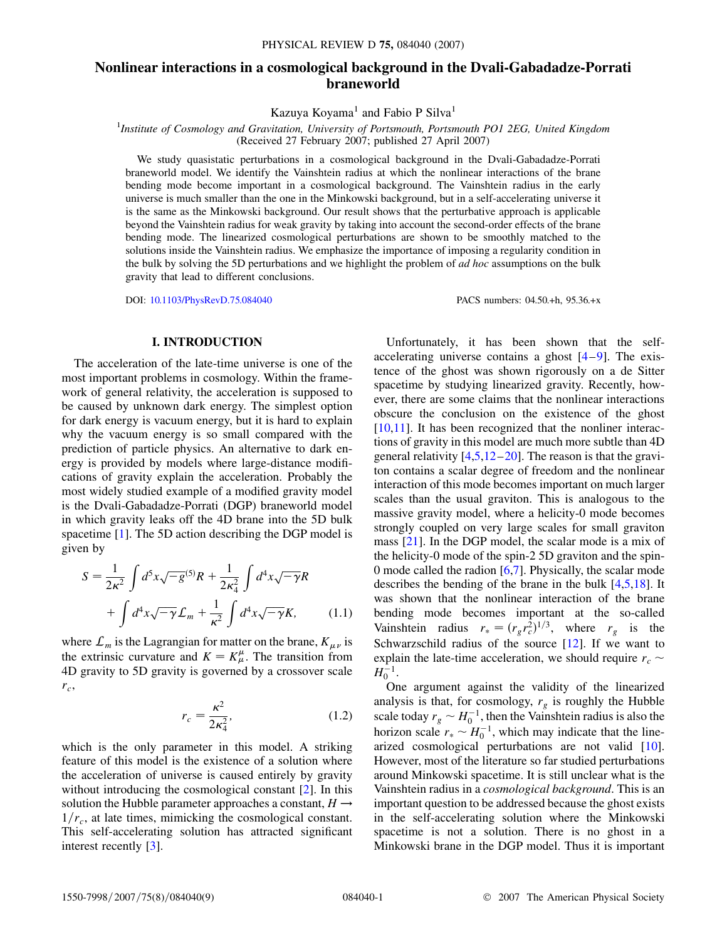# **Nonlinear interactions in a cosmological background in the Dvali-Gabadadze-Porrati braneworld**

Kazuya Koyama<sup>1</sup> and Fabio P Silva<sup>1</sup>

1 *Institute of Cosmology and Gravitation, University of Portsmouth, Portsmouth PO1 2EG, United Kingdom* (Received 27 February 2007; published 27 April 2007)

We study quasistatic perturbations in a cosmological background in the Dvali-Gabadadze-Porrati braneworld model. We identify the Vainshtein radius at which the nonlinear interactions of the brane bending mode become important in a cosmological background. The Vainshtein radius in the early universe is much smaller than the one in the Minkowski background, but in a self-accelerating universe it is the same as the Minkowski background. Our result shows that the perturbative approach is applicable beyond the Vainshtein radius for weak gravity by taking into account the second-order effects of the brane bending mode. The linearized cosmological perturbations are shown to be smoothly matched to the solutions inside the Vainshtein radius. We emphasize the importance of imposing a regularity condition in the bulk by solving the 5D perturbations and we highlight the problem of *ad hoc* assumptions on the bulk gravity that lead to different conclusions.

DOI: [10.1103/PhysRevD.75.084040](http://dx.doi.org/10.1103/PhysRevD.75.084040) PACS numbers: 04.50.+h, 95.36.+x

# **I. INTRODUCTION**

The acceleration of the late-time universe is one of the most important problems in cosmology. Within the framework of general relativity, the acceleration is supposed to be caused by unknown dark energy. The simplest option for dark energy is vacuum energy, but it is hard to explain why the vacuum energy is so small compared with the prediction of particle physics. An alternative to dark energy is provided by models where large-distance modifications of gravity explain the acceleration. Probably the most widely studied example of a modified gravity model is the Dvali-Gabadadze-Porrati (DGP) braneworld model in which gravity leaks off the 4D brane into the 5D bulk spacetime [\[1](#page-7-0)]. The 5D action describing the DGP model is given by

$$
S = \frac{1}{2\kappa^2} \int d^5 x \sqrt{-g}^{(5)} R + \frac{1}{2\kappa_4^2} \int d^4 x \sqrt{-\gamma} R
$$

$$
+ \int d^4 x \sqrt{-\gamma} \mathcal{L}_m + \frac{1}{\kappa^2} \int d^4 x \sqrt{-\gamma} K, \qquad (1.1)
$$

where  $\mathcal{L}_m$  is the Lagrangian for matter on the brane,  $K_{\mu\nu}$  is the extrinsic curvature and  $K = K^{\mu}_{\mu}$ . The transition from 4D gravity to 5D gravity is governed by a crossover scale *rc*,

$$
r_c = \frac{\kappa^2}{2\kappa_4^2},\tag{1.2}
$$

which is the only parameter in this model. A striking feature of this model is the existence of a solution where the acceleration of universe is caused entirely by gravity without introducing the cosmological constant [\[2\]](#page-7-1). In this solution the Hubble parameter approaches a constant,  $H \rightarrow$  $1/r_c$ , at late times, mimicking the cosmological constant. This self-accelerating solution has attracted significant interest recently [\[3\]](#page-7-2).

Unfortunately, it has been shown that the selfaccelerating universe contains a ghost  $[4-9]$  $[4-9]$  $[4-9]$ . The existence of the ghost was shown rigorously on a de Sitter spacetime by studying linearized gravity. Recently, however, there are some claims that the nonlinear interactions obscure the conclusion on the existence of the ghost [\[10](#page-7-5)[,11\]](#page-7-6). It has been recognized that the nonliner interactions of gravity in this model are much more subtle than 4D general relativity  $[4,5,12-20]$  $[4,5,12-20]$  $[4,5,12-20]$  $[4,5,12-20]$  $[4,5,12-20]$  $[4,5,12-20]$ . The reason is that the graviton contains a scalar degree of freedom and the nonlinear interaction of this mode becomes important on much larger scales than the usual graviton. This is analogous to the massive gravity model, where a helicity-0 mode becomes strongly coupled on very large scales for small graviton mass [\[21\]](#page-8-1). In the DGP model, the scalar mode is a mix of the helicity-0 mode of the spin-2 5D graviton and the spin-0 mode called the radion [\[6,](#page-7-9)[7](#page-7-10)]. Physically, the scalar mode describes the bending of the brane in the bulk [\[4](#page-7-3),[5](#page-7-7),[18](#page-8-2)]. It was shown that the nonlinear interaction of the brane bending mode becomes important at the so-called Vainshtein radius  $r_* = (r_g r_c^2)^{1/3}$ , where  $r_g$  is the Schwarzschild radius of the source [\[12\]](#page-7-8). If we want to explain the late-time acceleration, we should require  $r_c \sim$  $H_0^{-1}$ .

One argument against the validity of the linearized analysis is that, for cosmology,  $r_g$  is roughly the Hubble scale today  $r_g \sim H_0^{-1}$ , then the Vainshtein radius is also the horizon scale  $r_* \sim H_0^{-1}$ , which may indicate that the linearized cosmological perturbations are not valid [[10\]](#page-7-5). However, most of the literature so far studied perturbations around Minkowski spacetime. It is still unclear what is the Vainshtein radius in a *cosmological background*. This is an important question to be addressed because the ghost exists in the self-accelerating solution where the Minkowski spacetime is not a solution. There is no ghost in a Minkowski brane in the DGP model. Thus it is important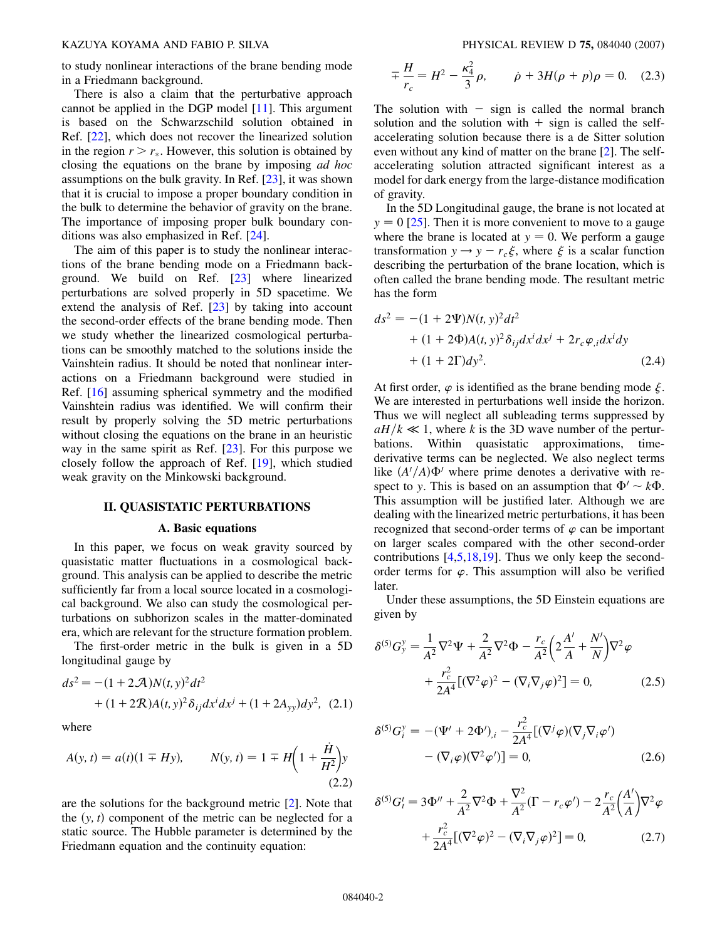to study nonlinear interactions of the brane bending mode in a Friedmann background.

There is also a claim that the perturbative approach cannot be applied in the DGP model [[11](#page-7-6)]. This argument is based on the Schwarzschild solution obtained in Ref. [[22](#page-8-3)], which does not recover the linearized solution in the region  $r > r_*$ . However, this solution is obtained by closing the equations on the brane by imposing *ad hoc* assumptions on the bulk gravity. In Ref. [\[23\]](#page-8-4), it was shown that it is crucial to impose a proper boundary condition in the bulk to determine the behavior of gravity on the brane. The importance of imposing proper bulk boundary conditions was also emphasized in Ref. [[24](#page-8-5)].

The aim of this paper is to study the nonlinear interactions of the brane bending mode on a Friedmann background. We build on Ref. [[23\]](#page-8-4) where linearized perturbations are solved properly in 5D spacetime. We extend the analysis of Ref. [\[23\]](#page-8-4) by taking into account the second-order effects of the brane bending mode. Then we study whether the linearized cosmological perturbations can be smoothly matched to the solutions inside the Vainshtein radius. It should be noted that nonlinear interactions on a Friedmann background were studied in Ref. [[16](#page-7-11)] assuming spherical symmetry and the modified Vainshtein radius was identified. We will confirm their result by properly solving the 5D metric perturbations without closing the equations on the brane in an heuristic way in the same spirit as Ref. [\[23\]](#page-8-4). For this purpose we closely follow the approach of Ref. [[19](#page-8-6)], which studied weak gravity on the Minkowski background.

## **II. QUASISTATIC PERTURBATIONS**

## **A. Basic equations**

In this paper, we focus on weak gravity sourced by quasistatic matter fluctuations in a cosmological background. This analysis can be applied to describe the metric sufficiently far from a local source located in a cosmological background. We also can study the cosmological perturbations on subhorizon scales in the matter-dominated era, which are relevant for the structure formation problem.

The first-order metric in the bulk is given in a 5D longitudinal gauge by

$$
ds^{2} = -(1 + 2 \mathcal{A})N(t, y)^{2}dt^{2}
$$
  
+  $(1 + 2 \mathcal{R})A(t, y)^{2} \delta_{ij}dx^{i}dx^{j} + (1 + 2A_{yy})dy^{2}$ , (2.1)

where

$$
A(y, t) = a(t)(1 \mp Hy), \qquad N(y, t) = 1 \mp H\left(1 + \frac{\dot{H}}{H^2}\right)y
$$
\n(2.2)

are the solutions for the background metric [\[2](#page-7-1)]. Note that the  $(y, t)$  component of the metric can be neglected for a static source. The Hubble parameter is determined by the Friedmann equation and the continuity equation:

$$
\mp \frac{H}{r_c} = H^2 - \frac{\kappa_4^2}{3} \rho, \qquad \dot{\rho} + 3H(\rho + p)\rho = 0. \quad (2.3)
$$

The solution with  $-$  sign is called the normal branch solution and the solution with  $+$  sign is called the selfaccelerating solution because there is a de Sitter solution even without any kind of matter on the brane [[2\]](#page-7-1). The selfaccelerating solution attracted significant interest as a model for dark energy from the large-distance modification of gravity.

In the 5D Longitudinal gauge, the brane is not located at  $y = 0$  [[25](#page-8-7)]. Then it is more convenient to move to a gauge where the brane is located at  $y = 0$ . We perform a gauge transformation  $y \rightarrow y - r_c \xi$ , where  $\xi$  is a scalar function describing the perturbation of the brane location, which is often called the brane bending mode. The resultant metric has the form

$$
ds^{2} = -(1 + 2\Psi)N(t, y)^{2}dt^{2}
$$
  
+ (1 + 2\Phi)A(t, y)^{2}\delta\_{ij}dx^{i}dx^{j} + 2r\_{c}\varphi\_{,i}dx^{i}dy  
+ (1 + 2\Gamma)dy^{2}. (2.4)

At first order,  $\varphi$  is identified as the brane bending mode  $\xi$ . We are interested in perturbations well inside the horizon. Thus we will neglect all subleading terms suppressed by  $aH/k \ll 1$ , where *k* is the 3D wave number of the perturbations. Within quasistatic approximations, timederivative terms can be neglected. We also neglect terms like  $(A'/A)\Phi'$  where prime denotes a derivative with respect to *y*. This is based on an assumption that  $\Phi' \sim k\Phi$ . This assumption will be justified later. Although we are dealing with the linearized metric perturbations, it has been recognized that second-order terms of  $\varphi$  can be important on larger scales compared with the other second-order contributions  $[4,5,18,19]$  $[4,5,18,19]$  $[4,5,18,19]$  $[4,5,18,19]$  $[4,5,18,19]$  $[4,5,18,19]$  $[4,5,18,19]$  $[4,5,18,19]$ . Thus we only keep the secondorder terms for  $\varphi$ . This assumption will also be verified later.

<span id="page-1-0"></span>Under these assumptions, the 5D Einstein equations are given by

$$
\delta^{(5)}G_{y}^{y} = \frac{1}{A^{2}}\nabla^{2}\Psi + \frac{2}{A^{2}}\nabla^{2}\Phi - \frac{r_{c}}{A^{2}}\left(2\frac{A'}{A} + \frac{N'}{N}\right)\nabla^{2}\varphi
$$

$$
+ \frac{r_{c}^{2}}{2A^{4}}\left[(\nabla^{2}\varphi)^{2} - (\nabla_{i}\nabla_{j}\varphi)^{2}\right] = 0, \qquad (2.5)
$$

<span id="page-1-1"></span>
$$
\delta^{(5)} G_i^y = -(\Psi' + 2\Phi')_{,i} - \frac{r_c^2}{2A^4} [(\nabla^j \varphi)(\nabla_j \nabla_i \varphi') - (\nabla_i \varphi)(\nabla^2 \varphi')] = 0,
$$
\n(2.6)

$$
\delta^{(5)} G_t' = 3\Phi'' + \frac{2}{A^2} \nabla^2 \Phi + \frac{\nabla^2}{A^2} (\Gamma - r_c \varphi') - 2 \frac{r_c}{A^2} \left(\frac{A'}{A}\right) \nabla^2 \varphi + \frac{r_c^2}{2A^4} [(\nabla^2 \varphi)^2 - (\nabla_i \nabla_j \varphi)^2] = 0,
$$
 (2.7)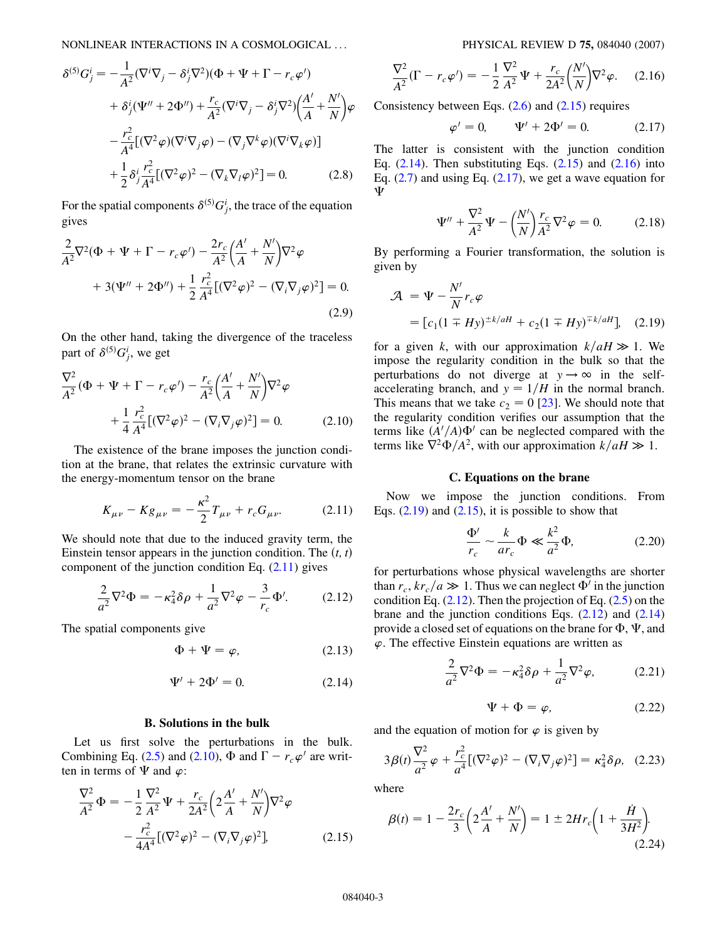NONLINEAR INTERACTIONS IN A COSMOLOGICAL ... PHYSICAL REVIEW D **75,** 084040 (2007)

$$
\delta^{(5)}G_j^i = -\frac{1}{A^2}(\nabla^i \nabla_j - \delta_j^i \nabla^2)(\Phi + \Psi + \Gamma - r_c \varphi')
$$
  
+ 
$$
\delta_j^i(\Psi'' + 2\Phi'') + \frac{r_c}{A^2}(\nabla^i \nabla_j - \delta_j^i \nabla^2) \left(\frac{A'}{A} + \frac{N'}{N}\right) \varphi
$$
  
- 
$$
\frac{r_c^2}{A^4} [(\nabla^2 \varphi)(\nabla^i \nabla_j \varphi) - (\nabla_j \nabla^k \varphi)(\nabla^i \nabla_k \varphi)]
$$
  
+ 
$$
\frac{1}{2} \delta_j^i \frac{r_c^2}{A^4} [(\nabla^2 \varphi)^2 - (\nabla_k \nabla_l \varphi)^2] = 0.
$$
 (2.8)

<span id="page-2-1"></span>For the spatial components  $\delta^{(5)}G_j^i$ , the trace of the equation gives

$$
\frac{2}{A^2}\nabla^2(\Phi + \Psi + \Gamma - r_c\varphi') - \frac{2r_c}{A^2}\left(\frac{A'}{A} + \frac{N'}{N}\right)\nabla^2\varphi \n+ 3(\Psi'' + 2\Phi'') + \frac{1}{2}\frac{r_c^2}{A^4}[(\nabla^2\varphi)^2 - (\nabla_i\nabla_j\varphi)^2] = 0.
$$
\n(2.9)

On the other hand, taking the divergence of the traceless part of  $\delta^{(5)}G_j^i$ , we get

<span id="page-2-2"></span>
$$
\frac{\nabla^2}{A^2} (\Phi + \Psi + \Gamma - r_c \varphi') - \frac{r_c}{A^2} \left(\frac{A'}{A} + \frac{N'}{N}\right) \nabla^2 \varphi + \frac{1}{4} \frac{r_c^2}{A^4} [(\nabla^2 \varphi)^2 - (\nabla_i \nabla_j \varphi)^2] = 0.
$$
 (2.10)

<span id="page-2-0"></span>The existence of the brane imposes the junction condition at the brane, that relates the extrinsic curvature with the energy-momentum tensor on the brane

$$
K_{\mu\nu} - Kg_{\mu\nu} = -\frac{\kappa^2}{2} T_{\mu\nu} + r_c G_{\mu\nu}.
$$
 (2.11)

<span id="page-2-8"></span>We should note that due to the induced gravity term, the Einstein tensor appears in the junction condition. The  $(t, t)$ component of the junction condition Eq.  $(2.11)$  gives

$$
\frac{2}{a^2}\nabla^2\Phi = -\kappa_4^2\delta\rho + \frac{1}{a^2}\nabla^2\varphi - \frac{3}{r_c}\Phi'.
$$
 (2.12)

<span id="page-2-4"></span>The spatial components give

$$
\Phi + \Psi = \varphi, \tag{2.13}
$$

$$
\Psi' + 2\Phi' = 0. \tag{2.14}
$$

#### **B. Solutions in the bulk**

<span id="page-2-5"></span>Let us first solve the perturbations in the bulk. Combining Eq. ([2.5](#page-2-1)) and [\(2.10](#page-2-2)),  $\Phi$  and  $\Gamma - r_c \varphi'$  are written in terms of  $\Psi$  and  $\varphi$ :

$$
\frac{\nabla^2}{A^2} \Phi = -\frac{1}{2} \frac{\nabla^2}{A^2} \Psi + \frac{r_c}{2A^2} \left( 2 \frac{A'}{A} + \frac{N'}{N} \right) \nabla^2 \varphi \n- \frac{r_c^2}{4A^4} [(\nabla^2 \varphi)^2 - (\nabla_i \nabla_j \varphi)^2],
$$
\n(2.15)

$$
\frac{\nabla^2}{A^2}(\Gamma - r_c \varphi') = -\frac{1}{2} \frac{\nabla^2}{A^2} \Psi + \frac{r_c}{2A^2} \left(\frac{N'}{N}\right) \nabla^2 \varphi.
$$
 (2.16)

<span id="page-2-6"></span><span id="page-2-3"></span>Consistency between Eqs.  $(2.6)$  $(2.6)$  $(2.6)$  and  $(2.15)$  $(2.15)$  $(2.15)$  requires

$$
\varphi' = 0, \qquad \Psi' + 2\Phi' = 0. \tag{2.17}
$$

<span id="page-2-12"></span>The latter is consistent with the junction condition Eq.  $(2.14)$  $(2.14)$ . Then substituting Eqs.  $(2.15)$  $(2.15)$  and  $(2.16)$  into Eq.  $(2.7)$  $(2.7)$  $(2.7)$  and using Eq.  $(2.17)$  $(2.17)$ , we get a wave equation for Ψ

$$
\Psi'' + \frac{\nabla^2}{A^2} \Psi - \left(\frac{N'}{N}\right) \frac{r_c}{A^2} \nabla^2 \varphi = 0.
$$
 (2.18)

<span id="page-2-7"></span>By performing a Fourier transformation, the solution is given by

$$
\mathcal{A} = \Psi - \frac{N'}{N} r_c \varphi
$$
  
=  $[c_1 (1 \mp Hy)^{\pm k/aH} + c_2 (1 \mp Hy)^{\mp k/aH}],$  (2.19)

for a given *k*, with our approximation  $k/aH \gg 1$ . We impose the regularity condition in the bulk so that the perturbations do not diverge at  $y \rightarrow \infty$  in the selfaccelerating branch, and  $y = 1/H$  in the normal branch. This means that we take  $c_2 = 0$  [\[23\]](#page-8-4). We should note that the regularity condition verifies our assumption that the terms like  $(A'/A)\Phi'$  can be neglected compared with the terms like  $\nabla^2 \Phi/A^2$ , with our approximation  $k/aH \gg 1$ .

#### **C. Equations on the brane**

Now we impose the junction conditions. From Eqs.  $(2.19)$  $(2.19)$  and  $(2.15)$  $(2.15)$  $(2.15)$ , it is possible to show that

$$
\frac{\Phi'}{r_c} \sim \frac{k}{ar_c} \Phi \ll \frac{k^2}{a^2} \Phi,
$$
\n(2.20)

<span id="page-2-10"></span>for perturbations whose physical wavelengths are shorter than  $r_c$ ,  $kr_c/a \gg 1$ . Thus we can neglect  $\Phi'$  in the junction condition Eq.  $(2.12)$  $(2.12)$  $(2.12)$ . Then the projection of Eq.  $(2.5)$  $(2.5)$  $(2.5)$  on the brane and the junction conditions Eqs.  $(2.12)$  $(2.12)$  $(2.12)$  and  $(2.14)$  $(2.14)$ provide a closed set of equations on the brane for  $\Phi$ ,  $\Psi$ , and  $\varphi$ . The effective Einstein equations are written as

$$
\frac{2}{a^2}\nabla^2\Phi = -\kappa_4^2\delta\rho + \frac{1}{a^2}\nabla^2\varphi,\tag{2.21}
$$

$$
\Psi + \Phi = \varphi, \tag{2.22}
$$

<span id="page-2-11"></span><span id="page-2-9"></span>and the equation of motion for  $\varphi$  is given by

$$
3\beta(t)\frac{\nabla^2}{a^2}\varphi + \frac{r_c^2}{a^4}[(\nabla^2\varphi)^2 - (\nabla_i\nabla_j\varphi)^2] = \kappa_4^2\delta\rho, \quad (2.23)
$$

<span id="page-2-13"></span>where

$$
\beta(t) = 1 - \frac{2r_c}{3} \left( 2\frac{A'}{A} + \frac{N'}{N} \right) = 1 \pm 2Hr_c \left( 1 + \frac{\dot{H}}{3H^2} \right).
$$
\n(2.24)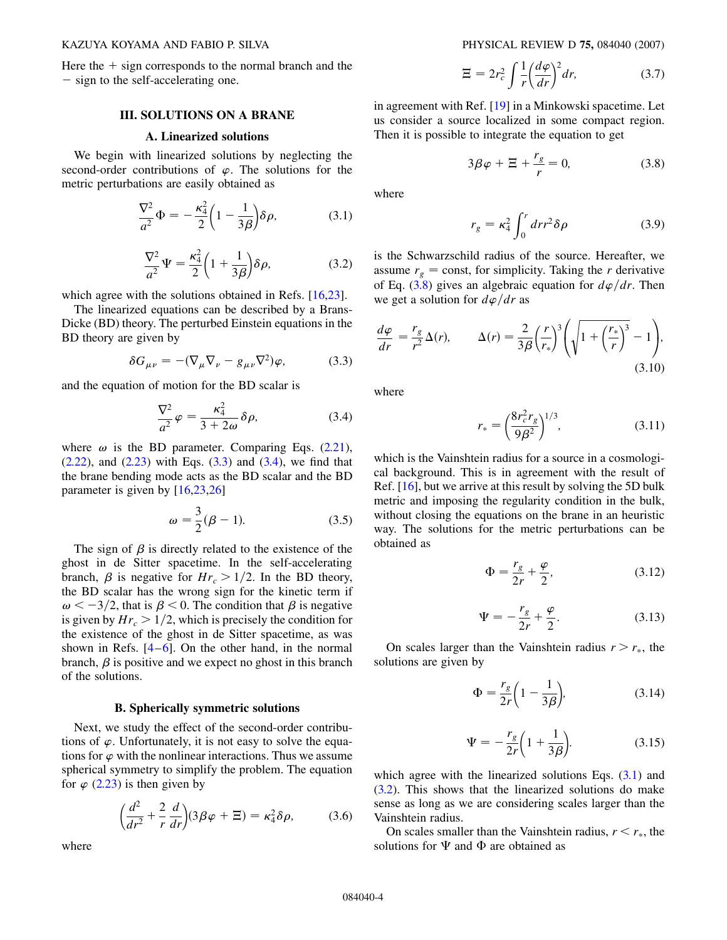Here the  $+$  sign corresponds to the normal branch and the - sign to the self-accelerating one.

## **III. SOLUTIONS ON A BRANE**

## **A. Linearized solutions**

<span id="page-3-4"></span>We begin with linearized solutions by neglecting the second-order contributions of  $\varphi$ . The solutions for the metric perturbations are easily obtained as

$$
\frac{\nabla^2}{a^2}\Phi = -\frac{\kappa_4^2}{2}\left(1 - \frac{1}{3\beta}\right)\delta\rho,\tag{3.1}
$$

$$
\frac{\nabla^2}{a^2}\Psi = \frac{\kappa_4^2}{2}\left(1 + \frac{1}{3\beta}\right)\delta\rho,\tag{3.2}
$$

<span id="page-3-3"></span>which agree with the solutions obtained in Refs. [\[16,](#page-7-11)[23\]](#page-8-4).

<span id="page-3-0"></span>The linearized equations can be described by a Brans-Dicke (BD) theory. The perturbed Einstein equations in the BD theory are given by

$$
\delta G_{\mu\nu} = -(\nabla_{\mu}\nabla_{\nu} - g_{\mu\nu}\nabla^2)\varphi, \tag{3.3}
$$

<span id="page-3-1"></span>and the equation of motion for the BD scalar is

$$
\frac{\nabla^2}{a^2}\varphi = \frac{\kappa_4^2}{3+2\omega}\delta\rho, \tag{3.4}
$$

where  $\omega$  is the BD parameter. Comparing Eqs. [\(2.21\)](#page-2-9),  $(2.22)$  $(2.22)$ , and  $(2.23)$  $(2.23)$  with Eqs.  $(3.3)$  $(3.3)$  $(3.3)$  and  $(3.4)$ , we find that the brane bending mode acts as the BD scalar and the BD parameter is given by [[16](#page-7-11)[,23](#page-8-4)[,26\]](#page-8-8)

$$
\omega = \frac{3}{2}(\beta - 1). \tag{3.5}
$$

The sign of  $\beta$  is directly related to the existence of the ghost in de Sitter spacetime. In the self-accelerating branch,  $\beta$  is negative for  $Hr_c > 1/2$ . In the BD theory, the BD scalar has the wrong sign for the kinetic term if  $\omega < -3/2$ , that is  $\beta < 0$ . The condition that  $\beta$  is negative is given by  $Hr_c > 1/2$ , which is precisely the condition for the existence of the ghost in de Sitter spacetime, as was shown in Refs.  $[4-6]$  $[4-6]$  $[4-6]$  $[4-6]$ . On the other hand, in the normal branch,  $\beta$  is positive and we expect no ghost in this branch of the solutions.

#### **B. Spherically symmetric solutions**

Next, we study the effect of the second-order contributions of  $\varphi$ . Unfortunately, it is not easy to solve the equations for  $\varphi$  with the nonlinear interactions. Thus we assume spherical symmetry to simplify the problem. The equation for  $\varphi$  [\(2.23\)](#page-2-11) is then given by

$$
\left(\frac{d^2}{dr^2} + \frac{2}{r}\frac{d}{dr}\right)(3\beta\varphi + \Xi) = \kappa_4^2 \delta\rho, \tag{3.6}
$$

where

$$
\Xi = 2r_c^2 \int \frac{1}{r} \left(\frac{d\varphi}{dr}\right)^2 dr,\tag{3.7}
$$

<span id="page-3-2"></span>in agreement with Ref. [[19](#page-8-6)] in a Minkowski spacetime. Let us consider a source localized in some compact region. Then it is possible to integrate the equation to get

$$
3\beta\varphi + \Xi + \frac{r_g}{r} = 0,\tag{3.8}
$$

where

$$
r_g = \kappa_4^2 \int_0^r dr r^2 \delta \rho \tag{3.9}
$$

is the Schwarzschild radius of the source. Hereafter, we assume  $r_g$  = const, for simplicity. Taking the *r* derivative of Eq. [\(3.8\)](#page-3-2) gives an algebraic equation for  $d\varphi/dr$ . Then we get a solution for  $d\varphi/dr$  as

<span id="page-3-5"></span>
$$
\frac{d\varphi}{dr} = \frac{r_g}{r^2} \Delta(r), \qquad \Delta(r) = \frac{2}{3\beta} \left(\frac{r}{r_*}\right)^3 \left(\sqrt{1 + \left(\frac{r_*}{r}\right)^3} - 1\right),\tag{3.10}
$$

where

$$
r_* = \left(\frac{8r_c^2 r_g}{9\beta^2}\right)^{1/3},\tag{3.11}
$$

<span id="page-3-6"></span>which is the Vainshtein radius for a source in a cosmological background. This is in agreement with the result of Ref. [\[16\]](#page-7-11), but we arrive at this result by solving the 5D bulk metric and imposing the regularity condition in the bulk, without closing the equations on the brane in an heuristic way. The solutions for the metric perturbations can be obtained as

$$
\Phi = \frac{r_g}{2r} + \frac{\varphi}{2},\tag{3.12}
$$

$$
\Psi = -\frac{r_g}{2r} + \frac{\varphi}{2}.\tag{3.13}
$$

On scales larger than the Vainshtein radius  $r > r_*$ , the solutions are given by

$$
\Phi = \frac{r_g}{2r} \left( 1 - \frac{1}{3\beta} \right),\tag{3.14}
$$

$$
\Psi = -\frac{r_g}{2r} \left( 1 + \frac{1}{3\beta} \right). \tag{3.15}
$$

which agree with the linearized solutions Eqs.  $(3.1)$  $(3.1)$  $(3.1)$  and [\(3.2\)](#page-3-4). This shows that the linearized solutions do make sense as long as we are considering scales larger than the Vainshtein radius.

On scales smaller than the Vainshtein radius,  $r < r_*$ , the solutions for  $\Psi$  and  $\Phi$  are obtained as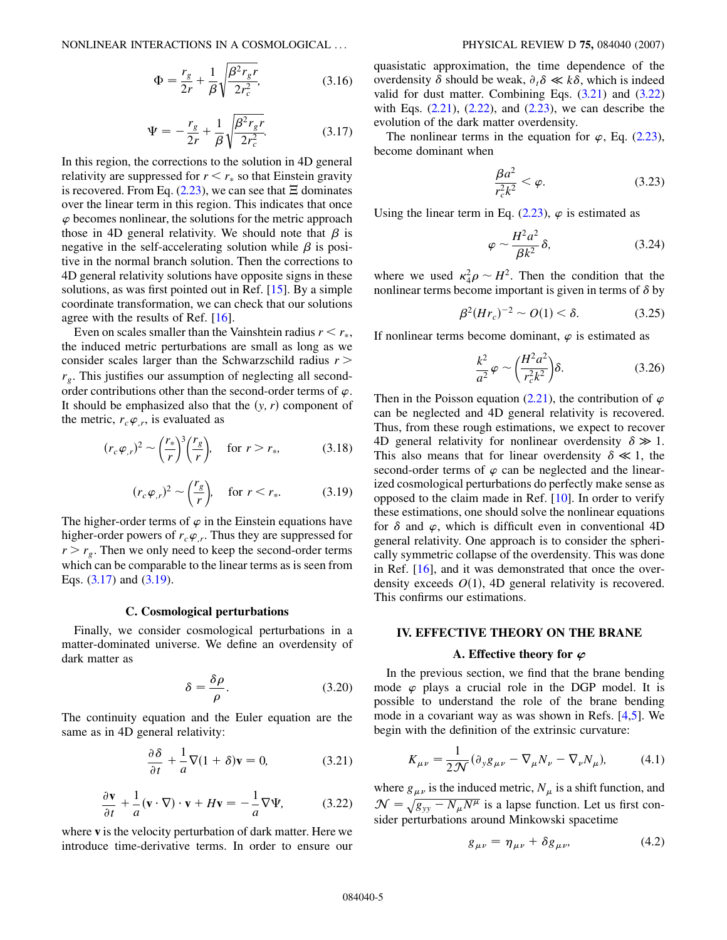<span id="page-4-0"></span>
$$
\Phi = \frac{r_g}{2r} + \frac{1}{\beta} \sqrt{\frac{\beta^2 r_g r}{2r_c^2}},
$$
\n(3.16)

$$
\Psi = -\frac{r_g}{2r} + \frac{1}{\beta} \sqrt{\frac{\beta^2 r_g r}{2r_c^2}}.
$$
 (3.17)

In this region, the corrections to the solution in 4D general relativity are suppressed for  $r < r_*$  so that Einstein gravity is recovered. From Eq. [\(2.23\)](#page-2-11), we can see that  $\Xi$  dominates over the linear term in this region. This indicates that once  $\varphi$  becomes nonlinear, the solutions for the metric approach those in 4D general relativity. We should note that  $\beta$  is negative in the self-accelerating solution while  $\beta$  is positive in the normal branch solution. Then the corrections to 4D general relativity solutions have opposite signs in these solutions, as was first pointed out in Ref. [\[15](#page-7-12)]. By a simple coordinate transformation, we can check that our solutions agree with the results of Ref. [\[16\]](#page-7-11).

Even on scales smaller than the Vainshtein radius  $r < r_*$ , the induced metric perturbations are small as long as we consider scales larger than the Schwarzschild radius *r >*  $r_g$ . This justifies our assumption of neglecting all secondorder contributions other than the second-order terms of  $\varphi$ . It should be emphasized also that the  $(y, r)$  component of the metric,  $r_c \varphi_r$ , is evaluated as

<span id="page-4-1"></span>
$$
(r_c \varphi_{,r})^2 \sim \left(\frac{r_*}{r}\right)^3 \left(\frac{r_g}{r}\right), \quad \text{for } r > r_*,\tag{3.18}
$$

$$
(r_c \varphi_{,r})^2 \sim \left(\frac{r_g}{r}\right), \quad \text{for } r < r_*. \tag{3.19}
$$

The higher-order terms of  $\varphi$  in the Einstein equations have higher-order powers of  $r_c \varphi_r$ . Thus they are suppressed for  $r > r_g$ . Then we only need to keep the second-order terms which can be comparable to the linear terms as is seen from Eqs.  $(3.17)$  $(3.17)$  and  $(3.19)$  $(3.19)$  $(3.19)$ .

## **C. Cosmological perturbations**

Finally, we consider cosmological perturbations in a matter-dominated universe. We define an overdensity of dark matter as

$$
\delta = \frac{\delta \rho}{\rho}.\tag{3.20}
$$

<span id="page-4-3"></span>The continuity equation and the Euler equation are the same as in 4D general relativity:

$$
\frac{\partial \delta}{\partial t} + \frac{1}{a} \nabla (1 + \delta) \mathbf{v} = 0, \tag{3.21}
$$

$$
\frac{\partial \mathbf{v}}{\partial t} + \frac{1}{a} (\mathbf{v} \cdot \nabla) \cdot \mathbf{v} + H \mathbf{v} = -\frac{1}{a} \nabla \Psi,
$$
 (3.22)

<span id="page-4-2"></span>where **v** is the velocity perturbation of dark matter. Here we introduce time-derivative terms. In order to ensure our quasistatic approximation, the time dependence of the overdensity  $\delta$  should be weak,  $\partial_t \delta \ll k \delta$ , which is indeed valid for dust matter. Combining Eqs.  $(3.21)$  and  $(3.22)$  $(3.22)$ with Eqs.  $(2.21)$  $(2.21)$ ,  $(2.22)$  $(2.22)$ , and  $(2.23)$  $(2.23)$ , we can describe the evolution of the dark matter overdensity.

The nonlinear terms in the equation for  $\varphi$ , Eq. [\(2.23\)](#page-2-11), become dominant when

$$
\frac{\beta a^2}{r_c^2 k^2} < \varphi. \tag{3.23}
$$

Using the linear term in Eq.  $(2.23)$ ,  $\varphi$  is estimated as

$$
\varphi \sim \frac{H^2 a^2}{\beta k^2} \delta, \tag{3.24}
$$

where we used  $\kappa_4^2 \rho \sim H^2$ . Then the condition that the nonlinear terms become important is given in terms of  $\delta$  by

$$
\beta^2 (Hr_c)^{-2} \sim O(1) < \delta. \tag{3.25}
$$

If nonlinear terms become dominant,  $\varphi$  is estimated as

$$
\frac{k^2}{a^2}\varphi \sim \left(\frac{H^2a^2}{r_c^2k^2}\right)\delta. \tag{3.26}
$$

Then in the Poisson equation  $(2.21)$  $(2.21)$ , the contribution of  $\varphi$ can be neglected and 4D general relativity is recovered. Thus, from these rough estimations, we expect to recover 4D general relativity for nonlinear overdensity  $\delta \gg 1$ . This also means that for linear overdensity  $\delta \ll 1$ , the second-order terms of  $\varphi$  can be neglected and the linearized cosmological perturbations do perfectly make sense as opposed to the claim made in Ref. [[10](#page-7-5)]. In order to verify these estimations, one should solve the nonlinear equations for  $\delta$  and  $\varphi$ , which is difficult even in conventional 4D general relativity. One approach is to consider the spherically symmetric collapse of the overdensity. This was done in Ref. [\[16\]](#page-7-11), and it was demonstrated that once the overdensity exceeds  $O(1)$ , 4D general relativity is recovered. This confirms our estimations.

## **IV. EFFECTIVE THEORY ON THE BRANE**

## **A. Effective theory for** *'*

In the previous section, we find that the brane bending mode  $\varphi$  plays a crucial role in the DGP model. It is possible to understand the role of the brane bending mode in a covariant way as was shown in Refs. [[4](#page-7-3),[5\]](#page-7-7). We begin with the definition of the extrinsic curvature:

$$
K_{\mu\nu} = \frac{1}{2\mathcal{N}} (\partial_y g_{\mu\nu} - \nabla_\mu N_\nu - \nabla_\nu N_\mu), \tag{4.1}
$$

where  $g_{\mu\nu}$  is the induced metric,  $N_{\mu}$  is a shift function, and  $\mathcal{N} = \sqrt{g_{yy} - N_{\mu}N^{\mu}}$  is a lapse function. Let us first consider perturbations around Minkowski spacetime

$$
g_{\mu\nu} = \eta_{\mu\nu} + \delta g_{\mu\nu}, \qquad (4.2)
$$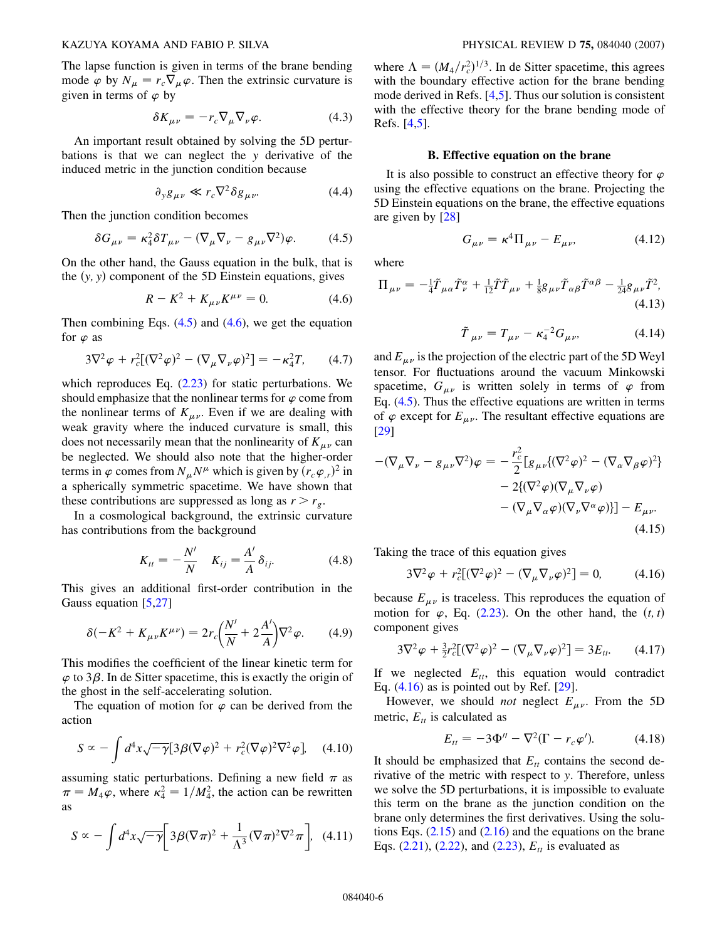<span id="page-5-4"></span>The lapse function is given in terms of the brane bending mode  $\varphi$  by  $N_{\mu} = r_c \nabla_{\mu} \varphi$ . Then the extrinsic curvature is given in terms of  $\varphi$  by

$$
\delta K_{\mu\nu} = -r_c \nabla_{\mu} \nabla_{\nu} \varphi. \tag{4.3}
$$

An important result obtained by solving the 5D perturbations is that we can neglect the *y* derivative of the induced metric in the junction condition because

$$
\partial_y g_{\mu\nu} \ll r_c \nabla^2 \delta g_{\mu\nu}.
$$
 (4.4)

<span id="page-5-0"></span>Then the junction condition becomes

$$
\delta G_{\mu\nu} = \kappa_4^2 \delta T_{\mu\nu} - (\nabla_\mu \nabla_\nu - g_{\mu\nu} \nabla^2) \varphi. \tag{4.5}
$$

<span id="page-5-1"></span>On the other hand, the Gauss equation in the bulk, that is the  $(y, y)$  component of the 5D Einstein equations, gives

$$
R - K^2 + K_{\mu\nu} K^{\mu\nu} = 0.
$$
 (4.6)

Then combining Eqs.  $(4.5)$  and  $(4.6)$ , we get the equation for  $\varphi$  as

$$
3\nabla^2 \varphi + r_c^2 [(\nabla^2 \varphi)^2 - (\nabla_\mu \nabla_\nu \varphi)^2] = -\kappa_4^2 T, \qquad (4.7)
$$

which reproduces Eq. [\(2.23](#page-2-11)) for static perturbations. We should emphasize that the nonlinear terms for  $\varphi$  come from the nonlinear terms of  $K_{\mu\nu}$ . Even if we are dealing with weak gravity where the induced curvature is small, this does not necessarily mean that the nonlinearity of  $K_{\mu\nu}$  can be neglected. We should also note that the higher-order terms in  $\varphi$  comes from  $N_{\mu}N^{\mu}$  which is given by  $(r_c\varphi_{,r})^2$  in a spherically symmetric spacetime. We have shown that these contributions are suppressed as long as  $r > r_g$ .

<span id="page-5-5"></span>In a cosmological background, the extrinsic curvature has contributions from the background

$$
K_{tt} = -\frac{N'}{N} \quad K_{ij} = \frac{A'}{A} \delta_{ij}.
$$
 (4.8)

This gives an additional first-order contribution in the Gauss equation [\[5](#page-7-7),[27](#page-8-9)]

$$
\delta(-K^2 + K_{\mu\nu}K^{\mu\nu}) = 2r_c \left(\frac{N'}{N} + 2\frac{A'}{A}\right) \nabla^2 \varphi.
$$
 (4.9)

This modifies the coefficient of the linear kinetic term for  $\varphi$  to 3 $\beta$ . In de Sitter spacetime, this is exactly the origin of the ghost in the self-accelerating solution.

The equation of motion for  $\varphi$  can be derived from the action

$$
S \propto -\int d^4x \sqrt{-\gamma} [3\beta(\nabla\varphi)^2 + r_c^2(\nabla\varphi)^2 \nabla^2\varphi], \quad (4.10)
$$

assuming static perturbations. Defining a new field  $\pi$  as  $\pi = M_4 \varphi$ , where  $\kappa_4^2 = 1/M_4^2$ , the action can be rewritten as

<span id="page-5-6"></span>
$$
S \propto -\int d^4x \sqrt{-\gamma} \left[ 3\beta (\nabla \pi)^2 + \frac{1}{\Lambda^3} (\nabla \pi)^2 \nabla^2 \pi \right], \quad (4.11)
$$

where  $\Lambda = (M_4/r_c^2)^{1/3}$ . In de Sitter spacetime, this agrees with the boundary effective action for the brane bending mode derived in Refs. [[4](#page-7-3),[5](#page-7-7)]. Thus our solution is consistent with the effective theory for the brane bending mode of Refs. [\[4](#page-7-3)[,5](#page-7-7)].

## **B. Effective equation on the brane**

It is also possible to construct an effective theory for  $\varphi$ using the effective equations on the brane. Projecting the 5D Einstein equations on the brane, the effective equations are given by [[28](#page-8-10)]

$$
G_{\mu\nu} = \kappa^4 \Pi_{\mu\nu} - E_{\mu\nu}, \tag{4.12}
$$

<span id="page-5-3"></span>where

$$
\Pi_{\mu\nu} = -\frac{1}{4}\tilde{T}_{\mu\alpha}\tilde{T}_{\nu}^{\alpha} + \frac{1}{12}\tilde{T}\tilde{T}_{\mu\nu} + \frac{1}{8}g_{\mu\nu}\tilde{T}_{\alpha\beta}\tilde{T}^{\alpha\beta} - \frac{1}{24}g_{\mu\nu}\tilde{T}_{\gamma}^{2},
$$
\n(4.13)

$$
\tilde{T}_{\mu\nu} = T_{\mu\nu} - \kappa_4^{-2} G_{\mu\nu}, \tag{4.14}
$$

and  $E_{\mu\nu}$  is the projection of the electric part of the 5D Weyl tensor. For fluctuations around the vacuum Minkowski spacetime,  $G_{\mu\nu}$  is written solely in terms of  $\varphi$  from Eq. [\(4.5\)](#page-5-0). Thus the effective equations are written in terms of  $\varphi$  except for  $E_{\mu\nu}$ . The resultant effective equations are [\[29\]](#page-8-11)

$$
-(\nabla_{\mu}\nabla_{\nu} - g_{\mu\nu}\nabla^2)\varphi = -\frac{r_c^2}{2}[g_{\mu\nu}\{(\nabla^2\varphi)^2 - (\nabla_{\alpha}\nabla_{\beta}\varphi)^2\} - 2\{(\nabla^2\varphi)(\nabla_{\mu}\nabla_{\nu}\varphi) - (\nabla_{\mu}\nabla_{\alpha}\varphi)(\nabla_{\nu}\nabla^{\alpha}\varphi)\}] - E_{\mu\nu}.
$$
\n(4.15)

<span id="page-5-2"></span>Taking the trace of this equation gives

$$
3\nabla^2 \varphi + r_c^2 [(\nabla^2 \varphi)^2 - (\nabla_\mu \nabla_\nu \varphi)^2] = 0,
$$
 (4.16)

because  $E_{\mu\nu}$  is traceless. This reproduces the equation of motion for  $\varphi$ , Eq. ([2.23\)](#page-2-11). On the other hand, the  $(t, t)$ component gives

$$
3\nabla^2 \varphi + \frac{3}{2} r_c^2 [(\nabla^2 \varphi)^2 - (\nabla_\mu \nabla_\nu \varphi)^2] = 3E_{tt}.
$$
 (4.17)

If we neglected  $E_{tt}$ , this equation would contradict Eq.  $(4.16)$  $(4.16)$  $(4.16)$  as is pointed out by Ref.  $[29]$ .

However, we should *not* neglect  $E_{\mu\nu}$ . From the 5D metric,  $E_{tt}$  is calculated as

$$
E_{tt} = -3\Phi^{\prime\prime} - \nabla^2(\Gamma - r_c\varphi^\prime). \tag{4.18}
$$

It should be emphasized that  $E<sub>tt</sub>$  contains the second derivative of the metric with respect to *y*. Therefore, unless we solve the 5D perturbations, it is impossible to evaluate this term on the brane as the junction condition on the brane only determines the first derivatives. Using the solutions Eqs.  $(2.15)$  $(2.15)$  $(2.15)$  and  $(2.16)$  $(2.16)$  and the equations on the brane Eqs.  $(2.21)$  $(2.21)$ ,  $(2.22)$ , and  $(2.23)$  $(2.23)$  $(2.23)$ ,  $E_{tt}$  is evaluated as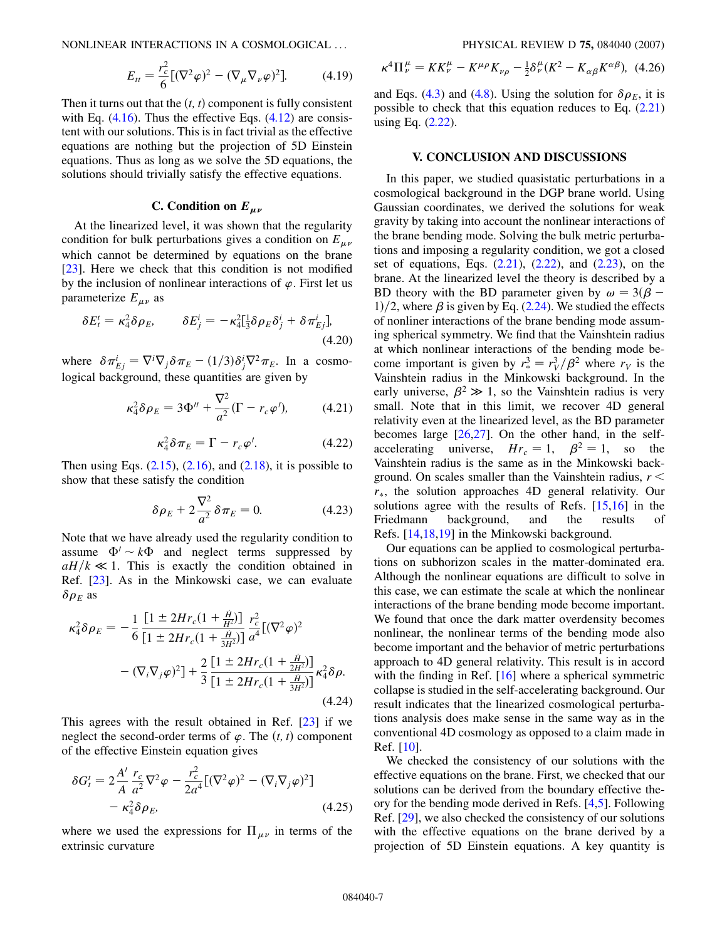NONLINEAR INTERACTIONS IN A COSMOLOGICAL ... PHYSICAL REVIEW D **75,** 084040 (2007)

$$
E_{tt} = \frac{r_c^2}{6} [(\nabla^2 \varphi)^2 - (\nabla_\mu \nabla_\nu \varphi)^2].
$$
 (4.19)

Then it turns out that the  $(t, t)$  component is fully consistent with Eq.  $(4.16)$  $(4.16)$ . Thus the effective Eqs.  $(4.12)$  $(4.12)$  are consistent with our solutions. This is in fact trivial as the effective equations are nothing but the projection of 5D Einstein equations. Thus as long as we solve the 5D equations, the solutions should trivially satisfy the effective equations.

#### C. Condition on  $E_{\mu\nu}$

At the linearized level, it was shown that the regularity condition for bulk perturbations gives a condition on  $E_{\mu\nu}$ which cannot be determined by equations on the brane [\[23\]](#page-8-4). Here we check that this condition is not modified by the inclusion of nonlinear interactions of  $\varphi$ . First let us parameterize  $E_{\mu\nu}$  as

$$
\delta E_t^t = \kappa_4^2 \delta \rho_E, \qquad \delta E_j^i = -\kappa_4^2 [\frac{1}{3} \delta \rho_E \delta_j^i + \delta \pi_{Ej}^i],
$$
\n(4.20)

where  $\delta \pi_{Ej}^i = \nabla^i \nabla_j \delta \pi_E - (1/3) \delta_j^i \nabla^2 \pi_E$ . In a cosmological background, these quantities are given by

$$
\kappa_4^2 \delta \rho_E = 3\Phi'' + \frac{\nabla^2}{a^2} (\Gamma - r_c \varphi'),\tag{4.21}
$$

$$
\kappa_4^2 \delta \pi_E = \Gamma - r_c \varphi'. \tag{4.22}
$$

<span id="page-6-0"></span>Then using Eqs.  $(2.15)$  $(2.15)$ ,  $(2.16)$  $(2.16)$ , and  $(2.18)$  $(2.18)$ , it is possible to show that these satisfy the condition

$$
\delta \rho_E + 2 \frac{\nabla^2}{a^2} \delta \pi_E = 0. \tag{4.23}
$$

Note that we have already used the regularity condition to assume  $\Phi' \sim k\Phi$  and neglect terms suppressed by  $aH/k \ll 1$ . This is exactly the condition obtained in Ref. [\[23\]](#page-8-4). As in the Minkowski case, we can evaluate  $\delta \rho_E$  as

$$
\kappa_4^2 \delta \rho_E = -\frac{1}{6} \frac{\left[1 \pm 2Hr_c(1 + \frac{\dot{H}}{H^2})\right]}{\left[1 \pm 2Hr_c(1 + \frac{\dot{H}}{3H^2})\right]} \frac{r_c^2}{a^4} [(\nabla^2 \varphi)^2
$$

$$
-(\nabla_i \nabla_j \varphi)^2] + \frac{2}{3} \frac{\left[1 \pm 2Hr_c(1 + \frac{\dot{H}}{2H^2})\right]}{\left[1 \pm 2Hr_c(1 + \frac{\dot{H}}{3H^2})\right]} \kappa_4^2 \delta \rho. \tag{4.24}
$$

This agrees with the result obtained in Ref. [\[23\]](#page-8-4) if we neglect the second-order terms of  $\varphi$ . The  $(t, t)$  component of the effective Einstein equation gives

$$
\delta G_t^t = 2\frac{A'}{A} \frac{r_c}{a^2} \nabla^2 \varphi - \frac{r_c^2}{2a^4} \left[ (\nabla^2 \varphi)^2 - (\nabla_i \nabla_j \varphi)^2 \right] - \kappa_4^2 \delta \rho_E,
$$
\n(4.25)

where we used the expressions for  $\Pi_{\mu\nu}$  in terms of the extrinsic curvature

$$
\kappa^4 \Pi^{\mu}_{\nu} = K K^{\mu}_{\nu} - K^{\mu \rho} K_{\nu \rho} - \frac{1}{2} \delta^{\mu}_{\nu} (K^2 - K_{\alpha \beta} K^{\alpha \beta}), \tag{4.26}
$$

and Eqs. ([4.3](#page-5-4)) and [\(4.8\)](#page-5-5). Using the solution for  $\delta \rho_E$ , it is possible to check that this equation reduces to Eq. ([2.21\)](#page-2-9) using Eq. [\(2.22](#page-2-10)).

## **V. CONCLUSION AND DISCUSSIONS**

In this paper, we studied quasistatic perturbations in a cosmological background in the DGP brane world. Using Gaussian coordinates, we derived the solutions for weak gravity by taking into account the nonlinear interactions of the brane bending mode. Solving the bulk metric perturbations and imposing a regularity condition, we got a closed set of equations, Eqs. [\(2.21\)](#page-2-9), [\(2.22\)](#page-2-10), and [\(2.23](#page-2-11)), on the brane. At the linearized level the theory is described by a BD theory with the BD parameter given by  $\omega = 3(\beta -$ 1 $/2$ , where  $\beta$  is given by Eq. ([2.24\)](#page-2-13). We studied the effects of nonliner interactions of the brane bending mode assuming spherical symmetry. We find that the Vainshtein radius at which nonlinear interactions of the bending mode become important is given by  $r_*^3 = r_V^3/\beta^2$  where  $r_V$  is the Vainshtein radius in the Minkowski background. In the early universe,  $\beta^2 \gg 1$ , so the Vainshtein radius is very small. Note that in this limit, we recover 4D general relativity even at the linearized level, as the BD parameter becomes large [[26](#page-8-8)[,27](#page-8-9)]. On the other hand, in the selfaccelerating universe,  $Hr_c = 1$ ,  $\beta^2 = 1$ , so the Vainshtein radius is the same as in the Minkowski background. On scales smaller than the Vainshtein radius, *r < r*, the solution approaches 4D general relativity. Our solutions agree with the results of Refs. [\[15,](#page-7-12)[16\]](#page-7-11) in the Friedmann background, and the results of Refs. [\[14](#page-7-13)[,18](#page-8-2)[,19\]](#page-8-6) in the Minkowski background.

Our equations can be applied to cosmological perturbations on subhorizon scales in the matter-dominated era. Although the nonlinear equations are difficult to solve in this case, we can estimate the scale at which the nonlinear interactions of the brane bending mode become important. We found that once the dark matter overdensity becomes nonlinear, the nonlinear terms of the bending mode also become important and the behavior of metric perturbations approach to 4D general relativity. This result is in accord with the finding in Ref. [\[16\]](#page-7-11) where a spherical symmetric collapse is studied in the self-accelerating background. Our result indicates that the linearized cosmological perturbations analysis does make sense in the same way as in the conventional 4D cosmology as opposed to a claim made in Ref. [\[10\]](#page-7-5).

We checked the consistency of our solutions with the effective equations on the brane. First, we checked that our solutions can be derived from the boundary effective theory for the bending mode derived in Refs. [[4,](#page-7-3)[5\]](#page-7-7). Following Ref. [[29](#page-8-11)], we also checked the consistency of our solutions with the effective equations on the brane derived by a projection of 5D Einstein equations. A key quantity is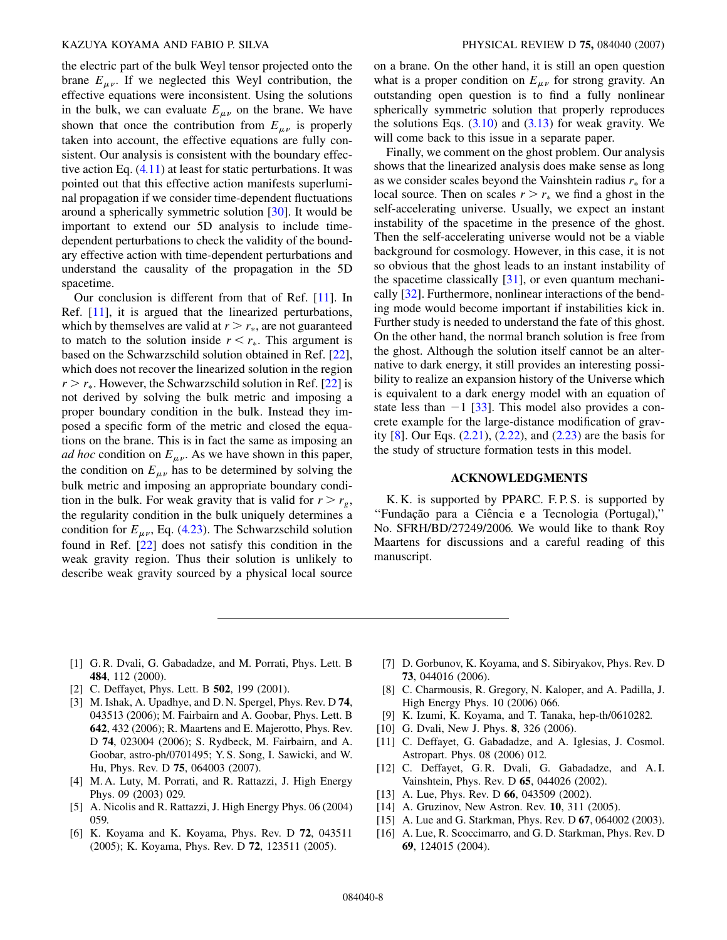the electric part of the bulk Weyl tensor projected onto the brane  $E_{\mu\nu}$ . If we neglected this Weyl contribution, the effective equations were inconsistent. Using the solutions in the bulk, we can evaluate  $E_{\mu\nu}$  on the brane. We have shown that once the contribution from  $E_{\mu\nu}$  is properly taken into account, the effective equations are fully consistent. Our analysis is consistent with the boundary effective action Eq. ([4.11\)](#page-5-6) at least for static perturbations. It was pointed out that this effective action manifests superluminal propagation if we consider time-dependent fluctuations around a spherically symmetric solution [[30](#page-8-12)]. It would be important to extend our 5D analysis to include timedependent perturbations to check the validity of the boundary effective action with time-dependent perturbations and understand the causality of the propagation in the 5D spacetime.

Our conclusion is different from that of Ref. [\[11\]](#page-7-6). In Ref. [[11](#page-7-6)], it is argued that the linearized perturbations, which by themselves are valid at  $r > r_*$ , are not guaranteed to match to the solution inside  $r < r_*$ . This argument is based on the Schwarzschild solution obtained in Ref. [[22\]](#page-8-3), which does not recover the linearized solution in the region  $r > r_*$ . However, the Schwarzschild solution in Ref. [[22](#page-8-3)] is not derived by solving the bulk metric and imposing a proper boundary condition in the bulk. Instead they imposed a specific form of the metric and closed the equations on the brane. This is in fact the same as imposing an *ad hoc* condition on  $E_{\mu\nu}$ . As we have shown in this paper, the condition on  $E_{\mu\nu}$  has to be determined by solving the bulk metric and imposing an appropriate boundary condition in the bulk. For weak gravity that is valid for  $r > r_g$ , the regularity condition in the bulk uniquely determines a condition for  $E_{\mu\nu}$ , Eq. [\(4.23\)](#page-6-0). The Schwarzschild solution found in Ref. [\[22\]](#page-8-3) does not satisfy this condition in the weak gravity region. Thus their solution is unlikely to describe weak gravity sourced by a physical local source on a brane. On the other hand, it is still an open question what is a proper condition on  $E_{\mu\nu}$  for strong gravity. An outstanding open question is to find a fully nonlinear spherically symmetric solution that properly reproduces the solutions Eqs.  $(3.10)$  and  $(3.13)$  $(3.13)$  for weak gravity. We will come back to this issue in a separate paper.

Finally, we comment on the ghost problem. Our analysis shows that the linearized analysis does make sense as long as we consider scales beyond the Vainshtein radius  $r_*$  for a local source. Then on scales  $r > r_*$  we find a ghost in the self-accelerating universe. Usually, we expect an instant instability of the spacetime in the presence of the ghost. Then the self-accelerating universe would not be a viable background for cosmology. However, in this case, it is not so obvious that the ghost leads to an instant instability of the spacetime classically  $[31]$  $[31]$  $[31]$ , or even quantum mechanically [\[32\]](#page-8-14). Furthermore, nonlinear interactions of the bending mode would become important if instabilities kick in. Further study is needed to understand the fate of this ghost. On the other hand, the normal branch solution is free from the ghost. Although the solution itself cannot be an alternative to dark energy, it still provides an interesting possibility to realize an expansion history of the Universe which is equivalent to a dark energy model with an equation of state less than  $-1$  [\[33\]](#page-8-15). This model also provides a concrete example for the large-distance modification of gravity [\[8\]](#page-7-14). Our Eqs. [\(2.21](#page-2-9)), [\(2.22](#page-2-10)), and ([2.23](#page-2-11)) are the basis for the study of structure formation tests in this model.

#### **ACKNOWLEDGMENTS**

K. K. is supported by PPARC. F. P. S. is supported by "Fundação para a Ciência e a Tecnologia (Portugal),' No. SFRH/BD/27249/2006. We would like to thank Roy Maartens for discussions and a careful reading of this manuscript.

- <span id="page-7-0"></span>[1] G. R. Dvali, G. Gabadadze, and M. Porrati, Phys. Lett. B **484**, 112 (2000).
- <span id="page-7-2"></span><span id="page-7-1"></span>[2] C. Deffayet, Phys. Lett. B **502**, 199 (2001).
- [3] M. Ishak, A. Upadhye, and D. N. Spergel, Phys. Rev. D **74**, 043513 (2006); M. Fairbairn and A. Goobar, Phys. Lett. B **642**, 432 (2006); R. Maartens and E. Majerotto, Phys. Rev. D **74**, 023004 (2006); S. Rydbeck, M. Fairbairn, and A. Goobar, astro-ph/0701495; Y. S. Song, I. Sawicki, and W. Hu, Phys. Rev. D **75**, 064003 (2007).
- <span id="page-7-3"></span>[4] M. A. Luty, M. Porrati, and R. Rattazzi, J. High Energy Phys. 09 (2003) 029.
- <span id="page-7-7"></span>[5] A. Nicolis and R. Rattazzi, J. High Energy Phys. 06 (2004) 059.
- <span id="page-7-9"></span>[6] K. Koyama and K. Koyama, Phys. Rev. D **72**, 043511 (2005); K. Koyama, Phys. Rev. D **72**, 123511 (2005).
- <span id="page-7-10"></span>[7] D. Gorbunov, K. Koyama, and S. Sibiryakov, Phys. Rev. D **73**, 044016 (2006).
- <span id="page-7-14"></span>[8] C. Charmousis, R. Gregory, N. Kaloper, and A. Padilla, J. High Energy Phys. 10 (2006) 066.
- <span id="page-7-5"></span><span id="page-7-4"></span>[9] K. Izumi, K. Koyama, and T. Tanaka, hep-th/0610282.
- <span id="page-7-6"></span>[10] G. Dvali, New J. Phys. **8**, 326 (2006).
- [11] C. Deffayet, G. Gabadadze, and A. Iglesias, J. Cosmol. Astropart. Phys. 08 (2006) 012.
- <span id="page-7-8"></span>[12] C. Deffayet, G.R. Dvali, G. Gabadadze, and A.I. Vainshtein, Phys. Rev. D **65**, 044026 (2002).
- <span id="page-7-13"></span>[13] A. Lue, Phys. Rev. D **66**, 043509 (2002).
- <span id="page-7-12"></span>[14] A. Gruzinov, New Astron. Rev. **10**, 311 (2005).
- <span id="page-7-11"></span>[15] A. Lue and G. Starkman, Phys. Rev. D **67**, 064002 (2003).
- [16] A. Lue, R. Scoccimarro, and G. D. Starkman, Phys. Rev. D **69**, 124015 (2004).